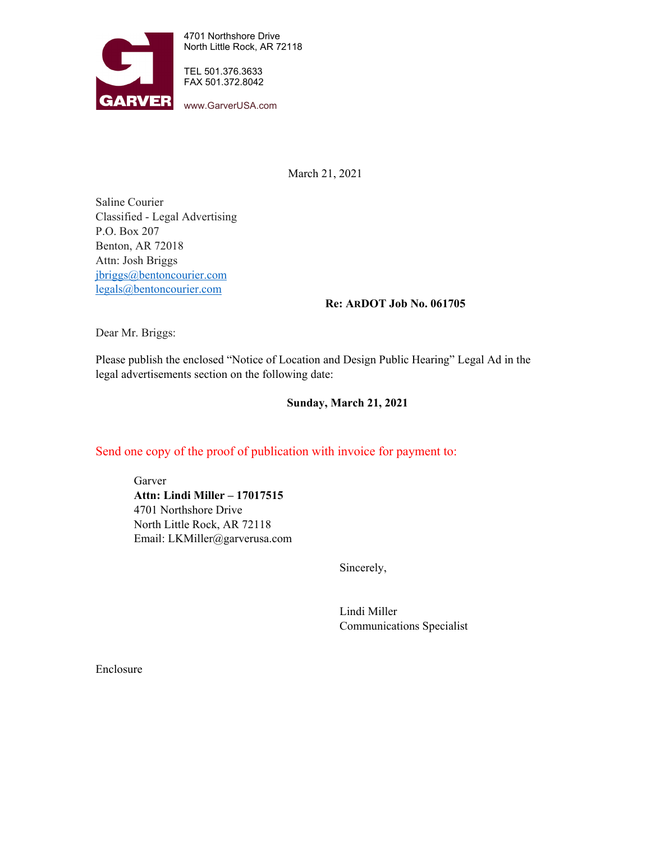

4701 Northshore Drive North Little Rock, AR 72118

TEL 501.376.3633 FAX 501.372.8042

www.GarverUSA.com

March 21, 2021

Saline Courier Classified - Legal Advertising P.O. Box 207 Benton, AR 72018 Attn: Josh Briggs [jbriggs@bentoncourier.com](mailto:jbriggs@bentoncourier.com) [legals@bentoncourier.com](mailto:legals@bentoncourier.com)

### **Re: ARDOT Job No. 061705**

Dear Mr. Briggs:

Please publish the enclosed "Notice of Location and Design Public Hearing" Legal Ad in the legal advertisements section on the following date:

## **Sunday, March 21, 2021**

# Send one copy of the proof of publication with invoice for payment to:

Garver **Attn: Lindi Miller – 17017515** 4701 Northshore Drive North Little Rock, AR 72118 Email: LKMiller@garverusa.com

Sincerely,

Lindi Miller Communications Specialist

Enclosure